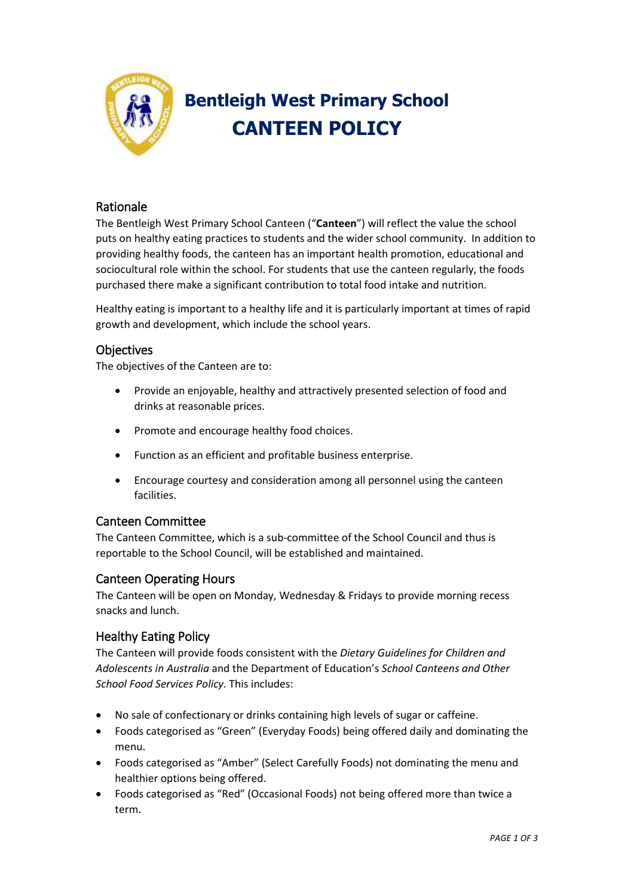

# **Bentleigh West Primary School CANTEEN POLICY**

## Rationale

The Bentleigh West Primary School Canteen ("**Canteen**") will reflect the value the school puts on healthy eating practices to students and the wider school community. In addition to providing healthy foods, the canteen has an important health promotion, educational and sociocultural role within the school. For students that use the canteen regularly, the foods purchased there make a significant contribution to total food intake and nutrition.

Healthy eating is important to a healthy life and it is particularly important at times of rapid growth and development, which include the school years.

## **Objectives**

The objectives of the Canteen are to:

- Provide an enjoyable, healthy and attractively presented selection of food and drinks at reasonable prices.
- Promote and encourage healthy food choices.
- Function as an efficient and profitable business enterprise.
- Encourage courtesy and consideration among all personnel using the canteen facilities.

## Canteen Committee

The Canteen Committee, which is a sub-committee of the School Council and thus is reportable to the School Council, will be established and maintained.

#### Canteen Operating Hours

The Canteen will be open on Monday, Wednesday & Fridays to provide morning recess snacks and lunch.

#### Healthy Eating Policy

The Canteen will provide foods consistent with the *Dietary Guidelines for Children and Adolescents in Australia* and the Department of Education's *School Canteens and Other School Food Services Policy.* This includes:

- No sale of confectionary or drinks containing high levels of sugar or caffeine.
- Foods categorised as "Green" (Everyday Foods) being offered daily and dominating the menu.
- Foods categorised as "Amber" (Select Carefully Foods) not dominating the menu and healthier options being offered.
- Foods categorised as "Red" (Occasional Foods) not being offered more than twice a term.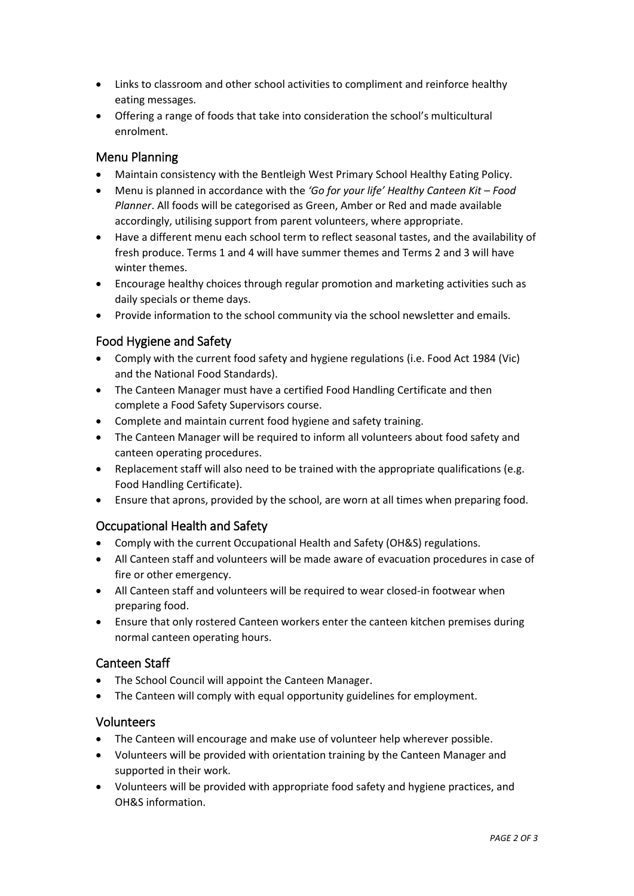- Links to classroom and other school activities to compliment and reinforce healthy eating messages.
- Offering a range of foods that take into consideration the school's multicultural enrolment.

## Menu Planning

- Maintain consistency with the Bentleigh West Primary School Healthy Eating Policy.
- Menu is planned in accordance with the *'Go for your life' Healthy Canteen Kit – Food Planner*. All foods will be categorised as Green, Amber or Red and made available accordingly, utilising support from parent volunteers, where appropriate.
- Have a different menu each school term to reflect seasonal tastes, and the availability of fresh produce. Terms 1 and 4 will have summer themes and Terms 2 and 3 will have winter themes.
- Encourage healthy choices through regular promotion and marketing activities such as daily specials or theme days.
- Provide information to the school community via the school newsletter and emails.

#### Food Hygiene and Safety

- Comply with the current food safety and hygiene regulations (i.e. Food Act 1984 (Vic) and the National Food Standards).
- The Canteen Manager must have a certified Food Handling Certificate and then complete a Food Safety Supervisors course.
- Complete and maintain current food hygiene and safety training.
- The Canteen Manager will be required to inform all volunteers about food safety and canteen operating procedures.
- Replacement staff will also need to be trained with the appropriate qualifications (e.g. Food Handling Certificate).
- Ensure that aprons, provided by the school, are worn at all times when preparing food.

## Occupational Health and Safety

- Comply with the current Occupational Health and Safety (OH&S) regulations.
- All Canteen staff and volunteers will be made aware of evacuation procedures in case of fire or other emergency.
- All Canteen staff and volunteers will be required to wear closed-in footwear when preparing food.
- Ensure that only rostered Canteen workers enter the canteen kitchen premises during normal canteen operating hours.

## Canteen Staff

- The School Council will appoint the Canteen Manager.
- The Canteen will comply with equal opportunity guidelines for employment.

#### Volunteers

- The Canteen will encourage and make use of volunteer help wherever possible.
- Volunteers will be provided with orientation training by the Canteen Manager and supported in their work.
- Volunteers will be provided with appropriate food safety and hygiene practices, and OH&S information.